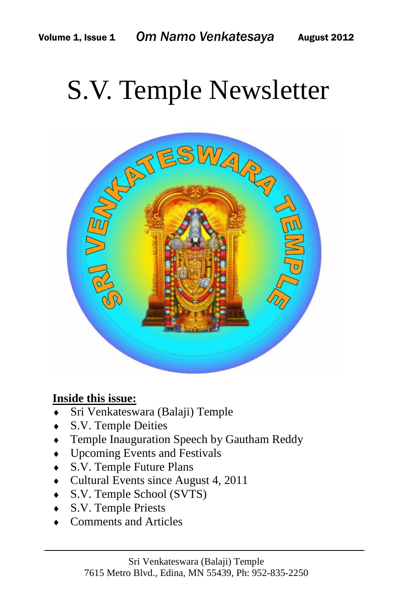# S.V. Temple Newsletter



#### **Inside this issue:**

- Sri Venkateswara (Balaji) Temple
- S.V. Temple Deities
- Temple Inauguration Speech by Gautham Reddy
- Upcoming Events and Festivals
- S.V. Temple Future Plans
- Cultural Events since August 4, 2011
- S.V. Temple School (SVTS)
- S.V. Temple Priests
- Comments and Articles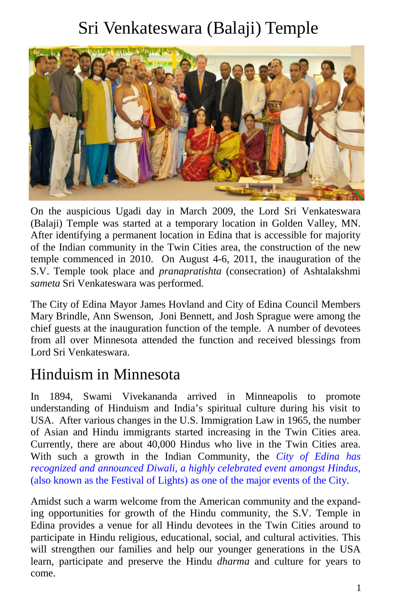# Sri Venkateswara (Balaji) Temple



On the auspicious Ugadi day in March 2009, the Lord Sri Venkateswara (Balaji) Temple was started at a temporary location in Golden Valley, MN. After identifying a permanent location in Edina that is accessible for majority of the Indian community in the Twin Cities area, the construction of the new temple commenced in 2010. On August 4-6, 2011, the inauguration of the S.V. Temple took place and *pranapratishta* (consecration) of Ashtalakshmi *sameta* Sri Venkateswara was performed.

The City of Edina Mayor James Hovland and City of Edina Council Members Mary Brindle, Ann Swenson, Joni Bennett, and Josh Sprague were among the chief guests at the inauguration function of the temple. A number of devotees from all over Minnesota attended the function and received blessings from Lord Sri Venkateswara.

#### Hinduism in Minnesota

In 1894, Swami Vivekananda arrived in Minneapolis to promote understanding of Hinduism and India's spiritual culture during his visit to USA. After various changes in the U.S. Immigration Law in 1965, the number of Asian and Hindu immigrants started increasing in the Twin Cities area. Currently, there are about 40,000 Hindus who live in the Twin Cities area. With such a growth in the Indian Community, the *City of Edina has recognized and announced Diwali, a highly celebrated event amongst Hindus*, (also known as the Festival of Lights) as one of the major events of the City.

Amidst such a warm welcome from the American community and the expanding opportunities for growth of the Hindu community, the S.V. Temple in Edina provides a venue for all Hindu devotees in the Twin Cities around to participate in Hindu religious, educational, social, and cultural activities. This will strengthen our families and help our younger generations in the USA learn, participate and preserve the Hindu *dharma* and culture for years to come.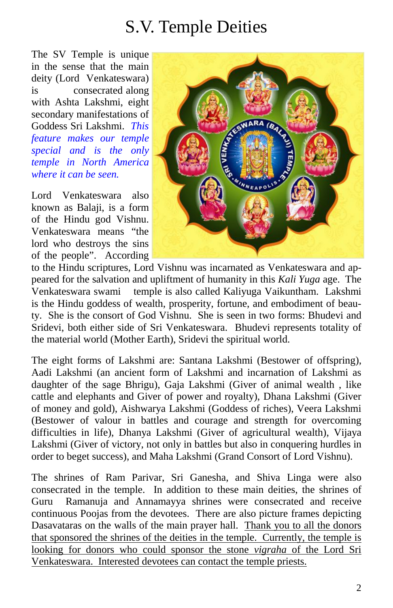## S.V. Temple Deities

The SV Temple is unique in the sense that the main deity (Lord Venkateswara) is consecrated along with Ashta Lakshmi, eight secondary manifestations of Goddess Sri Lakshmi. *This feature makes our temple special and is the only temple in North America where it can be seen.*

Lord Venkateswara also known as Balaji, is a form of the Hindu god Vishnu. Venkateswara means "the lord who destroys the sins of the people". According



to the Hindu scriptures, Lord Vishnu was incarnated as Venkateswara and appeared for the salvation and upliftment of humanity in this *Kali Yuga* age. The Venkateswara swami temple is also called Kaliyuga Vaikuntham. Lakshmi is the Hindu goddess of wealth, prosperity, fortune, and embodiment of beauty. She is the consort of God Vishnu. She is seen in two forms: Bhudevi and Sridevi, both either side of Sri Venkateswara. Bhudevi represents totality of the material world (Mother Earth), Sridevi the spiritual world.

The eight forms of Lakshmi are: Santana Lakshmi (Bestower of offspring), Aadi Lakshmi (an ancient form of Lakshmi and incarnation of Lakshmi as daughter of the sage Bhrigu), Gaja Lakshmi (Giver of animal wealth , like cattle and elephants and Giver of power and royalty), Dhana Lakshmi (Giver of money and gold), Aishwarya Lakshmi (Goddess of riches), Veera Lakshmi (Bestower of valour in battles and courage and strength for overcoming difficulties in life), Dhanya Lakshmi (Giver of agricultural wealth), Vijaya Lakshmi (Giver of victory, not only in battles but also in conquering hurdles in order to beget success), and Maha Lakshmi (Grand Consort of Lord Vishnu).

The shrines of Ram Parivar, Sri Ganesha, and Shiva Linga were also consecrated in the temple. In addition to these main deities, the shrines of Guru Ramanuja and Annamayya shrines were consecrated and receive continuous Poojas from the devotees. There are also picture frames depicting Dasavataras on the walls of the main prayer hall. Thank you to all the donors that sponsored the shrines of the deities in the temple. Currently, the temple is looking for donors who could sponsor the stone *vigraha* of the Lord Sri Venkateswara. Interested devotees can contact the temple priests.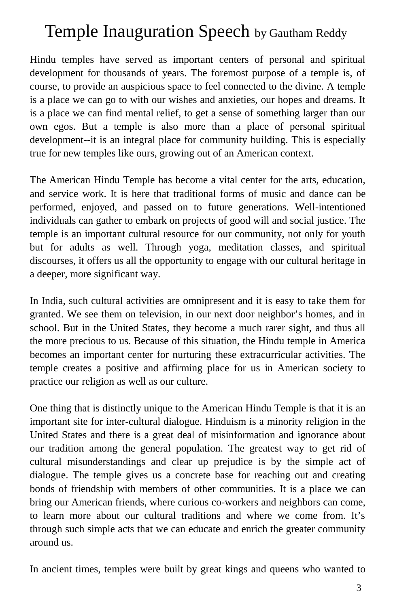## Temple Inauguration Speech by Gautham Reddy

Hindu temples have served as important centers of personal and spiritual development for thousands of years. The foremost purpose of a temple is, of course, to provide an auspicious space to feel connected to the divine. A temple is a place we can go to with our wishes and anxieties, our hopes and dreams. It is a place we can find mental relief, to get a sense of something larger than our own egos. But a temple is also more than a place of personal spiritual development--it is an integral place for community building. This is especially true for new temples like ours, growing out of an American context.

The American Hindu Temple has become a vital center for the arts, education, and service work. It is here that traditional forms of music and dance can be performed, enjoyed, and passed on to future generations. Well-intentioned individuals can gather to embark on projects of good will and social justice. The temple is an important cultural resource for our community, not only for youth but for adults as well. Through yoga, meditation classes, and spiritual discourses, it offers us all the opportunity to engage with our cultural heritage in a deeper, more significant way.

In India, such cultural activities are omnipresent and it is easy to take them for granted. We see them on television, in our next door neighbor's homes, and in school. But in the United States, they become a much rarer sight, and thus all the more precious to us. Because of this situation, the Hindu temple in America becomes an important center for nurturing these extracurricular activities. The temple creates a positive and affirming place for us in American society to practice our religion as well as our culture.

One thing that is distinctly unique to the American Hindu Temple is that it is an important site for inter-cultural dialogue. Hinduism is a minority religion in the United States and there is a great deal of misinformation and ignorance about our tradition among the general population. The greatest way to get rid of cultural misunderstandings and clear up prejudice is by the simple act of dialogue. The temple gives us a concrete base for reaching out and creating bonds of friendship with members of other communities. It is a place we can bring our American friends, where curious co-workers and neighbors can come, to learn more about our cultural traditions and where we come from. It's through such simple acts that we can educate and enrich the greater community around us.

In ancient times, temples were built by great kings and queens who wanted to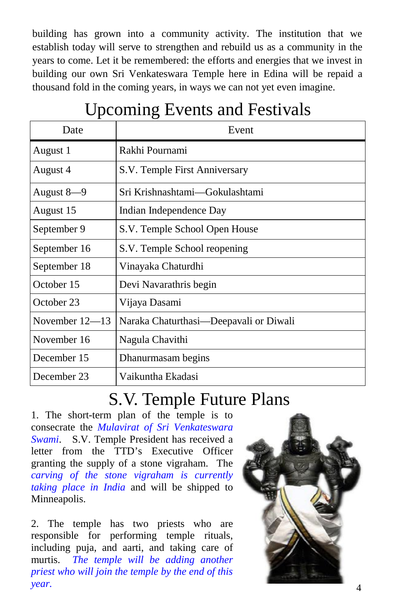building has grown into a community activity. The institution that we establish today will serve to strengthen and rebuild us as a community in the years to come. Let it be remembered: the efforts and energies that we invest in building our own Sri Venkateswara Temple here in Edina will be repaid a thousand fold in the coming years, in ways we can not yet even imagine.

| ┻<br>Date        | Event                                  |
|------------------|----------------------------------------|
| August 1         | Rakhi Pournami                         |
| August 4         | S.V. Temple First Anniversary          |
| August 8-9       | Sri Krishnashtami—Gokulashtami         |
| August 15        | Indian Independence Day                |
| September 9      | S.V. Temple School Open House          |
| September 16     | S.V. Temple School reopening           |
| September 18     | Vinayaka Chaturdhi                     |
| October 15       | Devi Navarathris begin                 |
| October 23       | Vijaya Dasami                          |
| November $12-13$ | Naraka Chaturthasi—Deepavali or Diwali |
| November 16      | Nagula Chavithi                        |
| December 15      | Dhanurmasam begins                     |
| December 23      | Vaikuntha Ekadasi                      |

# Upcoming Events and Festivals

#### S.V. Temple Future Plans

1. The short-term plan of the temple is to consecrate the *Mulavirat of Sri Venkateswara Swami*. S.V. Temple President has received a letter from the TTD's Executive Officer granting the supply of a stone vigraham. The *carving of the stone vigraham is currently taking place in India* and will be shipped to Minneapolis.

2. The temple has two priests who are responsible for performing temple rituals, including puja, and aarti, and taking care of murtis. *The temple will be adding another priest who will join the temple by the end of this year.*

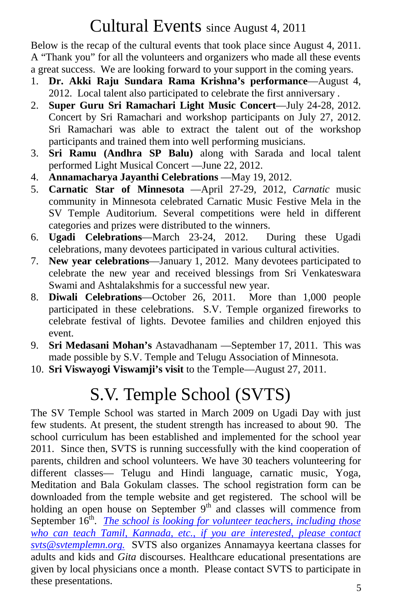## Cultural Events since August 4, 2011

Below is the recap of the cultural events that took place since August 4, 2011. A "Thank you" for all the volunteers and organizers who made all these events a great success. We are looking forward to your support in the coming years.

- 1. **Dr. Akki Raju Sundara Rama Krishna's performance**—August 4, 2012. Local talent also participated to celebrate the first anniversary .
- 2. **Super Guru Sri Ramachari Light Music Concert**—July 24-28, 2012. Concert by Sri Ramachari and workshop participants on July 27, 2012. Sri Ramachari was able to extract the talent out of the workshop participants and trained them into well performing musicians.
- 3. **Sri Ramu (Andhra SP Balu)** along with Sarada and local talent performed Light Musical Concert —June 22, 2012.
- 4. **Annamacharya Jayanthi Celebrations** —May 19, 2012.
- 5. **Carnatic Star of Minnesota** —April 27-29, 2012, *Carnatic* music community in Minnesota celebrated Carnatic Music Festive Mela in the SV Temple Auditorium. Several competitions were held in different categories and prizes were distributed to the winners.
- 6. **Ugadi Celebrations**—March 23-24, 2012. During these Ugadi celebrations, many devotees participated in various cultural activities.
- 7. **New year celebrations**—January 1, 2012. Many devotees participated to celebrate the new year and received blessings from Sri Venkateswara Swami and Ashtalakshmis for a successful new year.
- 8. **Diwali Celebrations**—October 26, 2011. More than 1,000 people participated in these celebrations. S.V. Temple organized fireworks to celebrate festival of lights. Devotee families and children enjoyed this event.
- 9. **Sri Medasani Mohan's** Astavadhanam —September 17, 2011. This was made possible by S.V. Temple and Telugu Association of Minnesota.
- 10. **Sri Viswayogi Viswamji's visit** to the Temple—August 27, 2011.

# S.V. Temple School (SVTS)

The SV Temple School was started in March 2009 on Ugadi Day with just few students. At present, the student strength has increased to about 90. The school curriculum has been established and implemented for the school year 2011. Since then, SVTS is running successfully with the kind cooperation of parents, children and school volunteers. We have 30 teachers volunteering for different classes— Telugu and Hindi language, carnatic music, Yoga, Meditation and Bala Gokulam classes. The school registration form can be downloaded from the temple website and get registered. The school will be holding an open house on September  $9<sup>th</sup>$  and classes will commence from September 16<sup>th</sup>. *The school is looking for volunteer teachers, including those who can teach Tamil, Kannada, etc., if you are interested, please contact svts@svtemplemn.org.* SVTS also organizes Annamayya keertana classes for adults and kids and *Gita* discourses. Healthcare educational presentations are given by local physicians once a month. Please contact SVTS to participate in these presentations.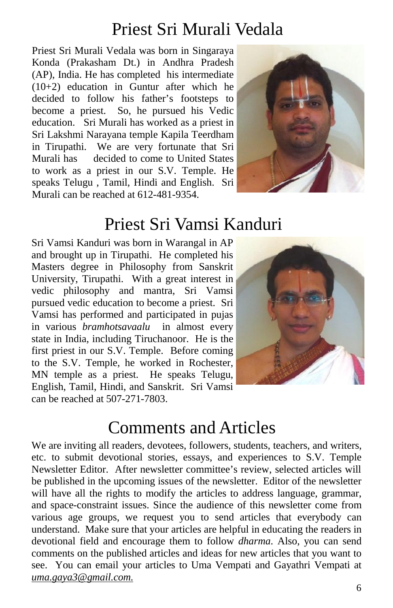## Priest Sri Murali Vedala

Priest Sri Murali Vedala was born in Singaraya Konda (Prakasham Dt.) in Andhra Pradesh (AP), India. He has completed his intermediate (10+2) education in Guntur after which he decided to follow his father's footsteps to become a priest. So, he pursued his Vedic education. Sri Murali has worked as a priest in Sri Lakshmi Narayana temple Kapila Teerdham in Tirupathi. We are very fortunate that Sri Murali has decided to come to United States to work as a priest in our S.V. Temple. He speaks Telugu , Tamil, Hindi and English. Sri Murali can be reached at 612-481-9354.



## Priest Sri Vamsi Kanduri

Sri Vamsi Kanduri was born in Warangal in AP and brought up in Tirupathi. He completed his Masters degree in Philosophy from Sanskrit University, Tirupathi. With a great interest in vedic philosophy and mantra, Sri Vamsi pursued vedic education to become a priest. Sri Vamsi has performed and participated in pujas in various *bramhotsavaalu* in almost every state in India, including Tiruchanoor. He is the first priest in our S.V. Temple. Before coming to the S.V. Temple, he worked in Rochester, MN temple as a priest. He speaks Telugu, English, Tamil, Hindi, and Sanskrit. Sri Vamsi can be reached at 507-271-7803.



### Comments and Articles

We are inviting all readers, devotees, followers, students, teachers, and writers, etc. to submit devotional stories, essays, and experiences to S.V. Temple Newsletter Editor. After newsletter committee's review, selected articles will be published in the upcoming issues of the newsletter. Editor of the newsletter will have all the rights to modify the articles to address language, grammar, and space-constraint issues. Since the audience of this newsletter come from various age groups, we request you to send articles that everybody can understand. Make sure that your articles are helpful in educating the readers in devotional field and encourage them to follow *dharma*. Also, you can send comments on the published articles and ideas for new articles that you want to see. You can email your articles to Uma Vempati and Gayathri Vempati at *uma.gaya3@gmail.com.*